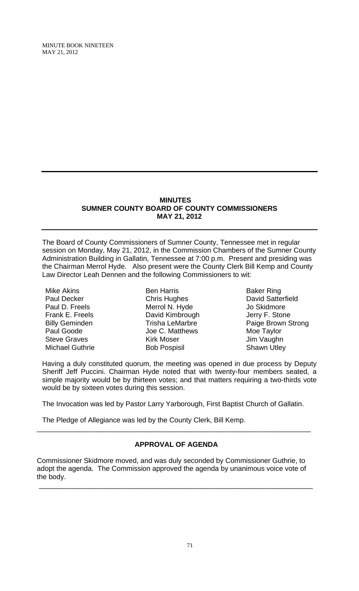#### **MINUTES SUMNER COUNTY BOARD OF COUNTY COMMISSIONERS MAY 21, 2012**

The Board of County Commissioners of Sumner County, Tennessee met in regular session on Monday, May 21, 2012, in the Commission Chambers of the Sumner County Administration Building in Gallatin, Tennessee at 7:00 p.m. Present and presiding was the Chairman Merrol Hyde. Also present were the County Clerk Bill Kemp and County Law Director Leah Dennen and the following Commissioners to wit:

Mike Akins Paul Decker Paul D. Freels Frank E. Freels Billy Geminden Paul Goode Steve Graves Michael Guthrie

Ben Harris Chris Hughes Merrol N. Hyde David Kimbrough Trisha LeMarbre Joe C. Matthews Kirk Moser Bob Pospisil

Baker Ring David Satterfield Jo Skidmore Jerry F. Stone Paige Brown Strong Moe Taylor Jim Vaughn Shawn Utley

Having a duly constituted quorum, the meeting was opened in due process by Deputy Sheriff Jeff Puccini. Chairman Hyde noted that with twenty-four members seated, a simple majority would be by thirteen votes; and that matters requiring a two-thirds vote would be by sixteen votes during this session.

The Invocation was led by Pastor Larry Yarborough, First Baptist Church of Gallatin.

The Pledge of Allegiance was led by the County Clerk, Bill Kemp.

# **APPROVAL OF AGENDA**

\_\_\_\_\_\_\_\_\_\_\_\_\_\_\_\_\_\_\_\_\_\_\_\_\_\_\_\_\_\_\_\_\_\_\_\_\_\_\_\_\_\_\_\_\_\_\_\_\_\_\_\_\_\_\_\_\_\_\_\_\_\_\_\_\_\_\_\_\_\_

Commissioner Skidmore moved, and was duly seconded by Commissioner Guthrie, to adopt the agenda. The Commission approved the agenda by unanimous voice vote of the body.

\_\_\_\_\_\_\_\_\_\_\_\_\_\_\_\_\_\_\_\_\_\_\_\_\_\_\_\_\_\_\_\_\_\_\_\_\_\_\_\_\_\_\_\_\_\_\_\_\_\_\_\_\_\_\_\_\_\_\_\_\_\_\_\_\_\_\_\_\_\_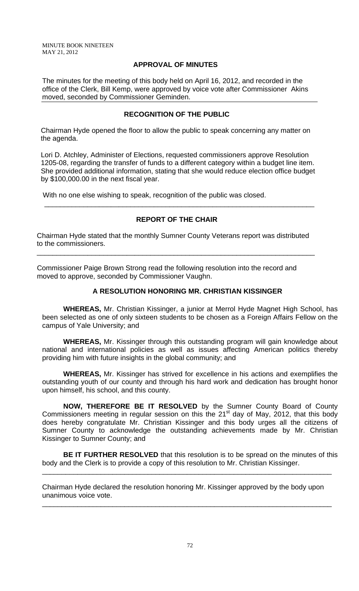### **APPROVAL OF MINUTES**

The minutes for the meeting of this body held on April 16, 2012, and recorded in the office of the Clerk, Bill Kemp, were approved by voice vote after Commissioner Akins moved, seconded by Commissioner Geminden.

## **RECOGNITION OF THE PUBLIC**

 Chairman Hyde opened the floor to allow the public to speak concerning any matter on the agenda.

 Lori D. Atchley, Administer of Elections, requested commissioners approve Resolution 1205-08, regarding the transfer of funds to a different category within a budget line item. She provided additional information, stating that she would reduce election office budget by \$100,000.00 in the next fiscal year.

With no one else wishing to speak, recognition of the public was closed.

# **REPORT OF THE CHAIR**

\_\_\_\_\_\_\_\_\_\_\_\_\_\_\_\_\_\_\_\_\_\_\_\_\_\_\_\_\_\_\_\_\_\_\_\_\_\_\_\_\_\_\_\_\_\_\_\_\_\_\_\_\_\_\_\_\_\_\_\_\_\_\_\_\_\_\_\_\_

Chairman Hyde stated that the monthly Sumner County Veterans report was distributed to the commissioners.

\_\_\_\_\_\_\_\_\_\_\_\_\_\_\_\_\_\_\_\_\_\_\_\_\_\_\_\_\_\_\_\_\_\_\_\_\_\_\_\_\_\_\_\_\_\_\_\_\_\_\_\_\_\_\_\_\_\_\_\_\_\_\_\_\_\_\_\_\_\_\_

Commissioner Paige Brown Strong read the following resolution into the record and moved to approve, seconded by Commissioner Vaughn.

## **A RESOLUTION HONORING MR. CHRISTIAN KISSINGER**

 **WHEREAS,** Mr. Christian Kissinger, a junior at Merrol Hyde Magnet High School, has been selected as one of only sixteen students to be chosen as a Foreign Affairs Fellow on the campus of Yale University; and

**WHEREAS,** Mr. Kissinger through this outstanding program will gain knowledge about national and international policies as well as issues affecting American politics thereby providing him with future insights in the global community; and

**WHEREAS,** Mr. Kissinger has strived for excellence in his actions and exemplifies the outstanding youth of our county and through his hard work and dedication has brought honor upon himself, his school, and this county.

**NOW, THEREFORE BE IT RESOLVED** by the Sumner County Board of County Commissioners meeting in regular session on this the  $21<sup>st</sup>$  day of May, 2012, that this body does hereby congratulate Mr. Christian Kissinger and this body urges all the citizens of Sumner County to acknowledge the outstanding achievements made by Mr. Christian Kissinger to Sumner County; and

**BE IT FURTHER RESOLVED** that this resolution is to be spread on the minutes of this body and the Clerk is to provide a copy of this resolution to Mr. Christian Kissinger.

\_\_\_\_\_\_\_\_\_\_\_\_\_\_\_\_\_\_\_\_\_\_\_\_\_\_\_\_\_\_\_\_\_\_\_\_\_\_\_\_\_\_\_\_\_\_\_\_\_\_\_\_\_\_\_\_\_\_\_\_\_\_\_\_\_\_\_\_\_\_\_\_\_\_

\_\_\_\_\_\_\_\_\_\_\_\_\_\_\_\_\_\_\_\_\_\_\_\_\_\_\_\_\_\_\_\_\_\_\_\_\_\_\_\_\_\_\_\_\_\_\_\_\_\_\_\_\_\_\_\_\_\_\_\_\_\_\_\_\_\_\_\_\_\_\_\_\_\_

Chairman Hyde declared the resolution honoring Mr. Kissinger approved by the body upon unanimous voice vote.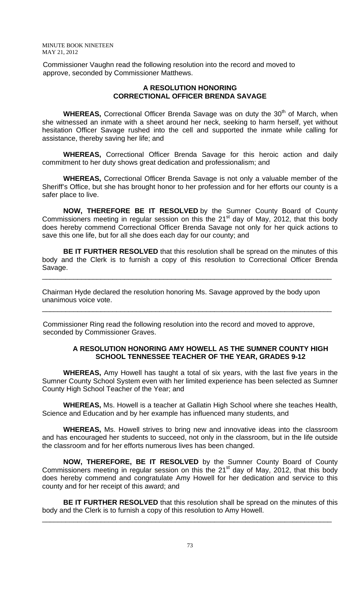Commissioner Vaughn read the following resolution into the record and moved to approve, seconded by Commissioner Matthews.

#### **A RESOLUTION HONORING CORRECTIONAL OFFICER BRENDA SAVAGE**

**WHEREAS, Correctional Officer Brenda Savage was on duty the 30<sup>th</sup> of March, when** she witnessed an inmate with a sheet around her neck, seeking to harm herself, yet without hesitation Officer Savage rushed into the cell and supported the inmate while calling for assistance, thereby saving her life; and

**WHEREAS,** Correctional Officer Brenda Savage for this heroic action and daily commitment to her duty shows great dedication and professionalism; and

**WHEREAS,** Correctional Officer Brenda Savage is not only a valuable member of the Sheriff's Office, but she has brought honor to her profession and for her efforts our county is a safer place to live.

**NOW, THEREFORE BE IT RESOLVED** by the Sumner County Board of County Commissioners meeting in regular session on this the  $21<sup>st</sup>$  day of May, 2012, that this body does hereby commend Correctional Officer Brenda Savage not only for her quick actions to save this one life, but for all she does each day for our county; and

**BE IT FURTHER RESOLVED** that this resolution shall be spread on the minutes of this body and the Clerk is to furnish a copy of this resolution to Correctional Officer Brenda Savage.

\_\_\_\_\_\_\_\_\_\_\_\_\_\_\_\_\_\_\_\_\_\_\_\_\_\_\_\_\_\_\_\_\_\_\_\_\_\_\_\_\_\_\_\_\_\_\_\_\_\_\_\_\_\_\_\_\_\_\_\_\_\_\_\_\_\_\_\_\_\_\_\_\_\_

\_\_\_\_\_\_\_\_\_\_\_\_\_\_\_\_\_\_\_\_\_\_\_\_\_\_\_\_\_\_\_\_\_\_\_\_\_\_\_\_\_\_\_\_\_\_\_\_\_\_\_\_\_\_\_\_\_\_\_\_\_\_\_\_\_\_\_\_\_\_\_\_\_\_

Chairman Hyde declared the resolution honoring Ms. Savage approved by the body upon unanimous voice vote.

 Commissioner Ring read the following resolution into the record and moved to approve, seconded by Commissioner Graves.

# **A RESOLUTION HONORING AMY HOWELL AS THE SUMNER COUNTY HIGH SCHOOL TENNESSEE TEACHER OF THE YEAR, GRADES 9-12**

 **WHEREAS,** Amy Howell has taught a total of six years, with the last five years in the Sumner County School System even with her limited experience has been selected as Sumner County High School Teacher of the Year; and

**WHEREAS,** Ms. Howell is a teacher at Gallatin High School where she teaches Health, Science and Education and by her example has influenced many students, and

**WHEREAS,** Ms. Howell strives to bring new and innovative ideas into the classroom and has encouraged her students to succeed, not only in the classroom, but in the life outside the classroom and for her efforts numerous lives has been changed.

**NOW, THEREFORE, BE IT RESOLVED** by the Sumner County Board of County Commissioners meeting in regular session on this the  $21<sup>st</sup>$  day of May, 2012, that this body does hereby commend and congratulate Amy Howell for her dedication and service to this county and for her receipt of this award; and

**BE IT FURTHER RESOLVED** that this resolution shall be spread on the minutes of this body and the Clerk is to furnish a copy of this resolution to Amy Howell.

\_\_\_\_\_\_\_\_\_\_\_\_\_\_\_\_\_\_\_\_\_\_\_\_\_\_\_\_\_\_\_\_\_\_\_\_\_\_\_\_\_\_\_\_\_\_\_\_\_\_\_\_\_\_\_\_\_\_\_\_\_\_\_\_\_\_\_\_\_\_\_\_\_\_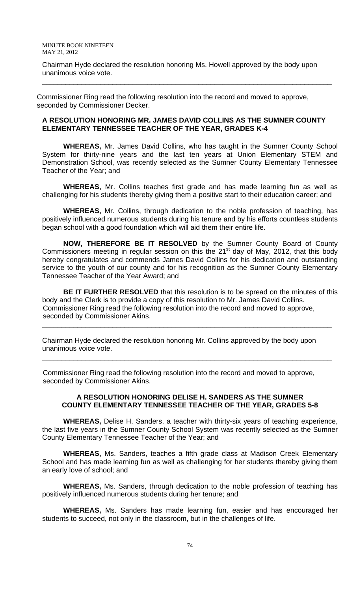Chairman Hyde declared the resolution honoring Ms. Howell approved by the body upon unanimous voice vote.

\_\_\_\_\_\_\_\_\_\_\_\_\_\_\_\_\_\_\_\_\_\_\_\_\_\_\_\_\_\_\_\_\_\_\_\_\_\_\_\_\_\_\_\_\_\_\_\_\_\_\_\_\_\_\_\_\_\_\_\_\_\_\_\_\_\_\_\_\_\_\_\_\_\_

Commissioner Ring read the following resolution into the record and moved to approve, seconded by Commissioner Decker.

## **A RESOLUTION HONORING MR. JAMES DAVID COLLINS AS THE SUMNER COUNTY ELEMENTARY TENNESSEE TEACHER OF THE YEAR, GRADES K-4**

 **WHEREAS,** Mr. James David Collins, who has taught in the Sumner County School System for thirty-nine years and the last ten years at Union Elementary STEM and Demonstration School, was recently selected as the Sumner County Elementary Tennessee Teacher of the Year; and

**WHEREAS,** Mr. Collins teaches first grade and has made learning fun as well as challenging for his students thereby giving them a positive start to their education career; and

**WHEREAS,** Mr. Collins, through dedication to the noble profession of teaching, has positively influenced numerous students during his tenure and by his efforts countless students began school with a good foundation which will aid them their entire life.

**NOW, THEREFORE BE IT RESOLVED** by the Sumner County Board of County Commissioners meeting in regular session on this the 21 $<sup>st</sup>$  day of May, 2012, that this body</sup> hereby congratulates and commends James David Collins for his dedication and outstanding service to the youth of our county and for his recognition as the Sumner County Elementary Tennessee Teacher of the Year Award; and

**BE IT FURTHER RESOLVED** that this resolution is to be spread on the minutes of this body and the Clerk is to provide a copy of this resolution to Mr. James David Collins. Commissioner Ring read the following resolution into the record and moved to approve, seconded by Commissioner Akins.

\_\_\_\_\_\_\_\_\_\_\_\_\_\_\_\_\_\_\_\_\_\_\_\_\_\_\_\_\_\_\_\_\_\_\_\_\_\_\_\_\_\_\_\_\_\_\_\_\_\_\_\_\_\_\_\_\_\_\_\_\_\_\_\_\_\_\_\_\_\_\_\_\_\_

\_\_\_\_\_\_\_\_\_\_\_\_\_\_\_\_\_\_\_\_\_\_\_\_\_\_\_\_\_\_\_\_\_\_\_\_\_\_\_\_\_\_\_\_\_\_\_\_\_\_\_\_\_\_\_\_\_\_\_\_\_\_\_\_\_\_\_\_\_\_\_\_\_\_

Chairman Hyde declared the resolution honoring Mr. Collins approved by the body upon unanimous voice vote.

 Commissioner Ring read the following resolution into the record and moved to approve, seconded by Commissioner Akins.

## **A RESOLUTION HONORING DELISE H. SANDERS AS THE SUMNER COUNTY ELEMENTARY TENNESSEE TEACHER OF THE YEAR, GRADES 5-8**

 **WHEREAS,** Delise H. Sanders, a teacher with thirty-six years of teaching experience, the last five years in the Sumner County School System was recently selected as the Sumner County Elementary Tennessee Teacher of the Year; and

**WHEREAS,** Ms. Sanders, teaches a fifth grade class at Madison Creek Elementary School and has made learning fun as well as challenging for her students thereby giving them an early love of school; and

**WHEREAS,** Ms. Sanders, through dedication to the noble profession of teaching has positively influenced numerous students during her tenure; and

**WHEREAS,** Ms. Sanders has made learning fun, easier and has encouraged her students to succeed, not only in the classroom, but in the challenges of life.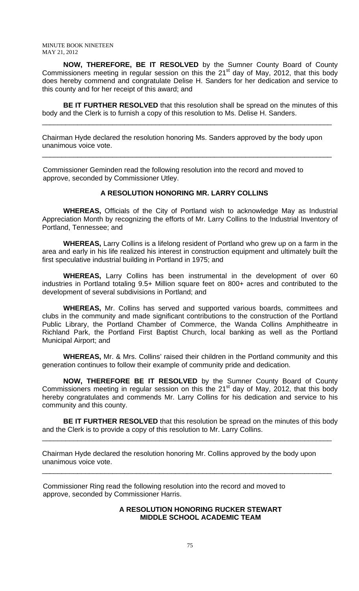**NOW, THEREFORE, BE IT RESOLVED** by the Sumner County Board of County Commissioners meeting in regular session on this the  $21<sup>st</sup>$  day of May, 2012, that this body does hereby commend and congratulate Delise H. Sanders for her dedication and service to this county and for her receipt of this award; and

**BE IT FURTHER RESOLVED** that this resolution shall be spread on the minutes of this body and the Clerk is to furnish a copy of this resolution to Ms. Delise H. Sanders.

\_\_\_\_\_\_\_\_\_\_\_\_\_\_\_\_\_\_\_\_\_\_\_\_\_\_\_\_\_\_\_\_\_\_\_\_\_\_\_\_\_\_\_\_\_\_\_\_\_\_\_\_\_\_\_\_\_\_\_\_\_\_\_\_\_\_\_\_\_\_\_\_\_\_

\_\_\_\_\_\_\_\_\_\_\_\_\_\_\_\_\_\_\_\_\_\_\_\_\_\_\_\_\_\_\_\_\_\_\_\_\_\_\_\_\_\_\_\_\_\_\_\_\_\_\_\_\_\_\_\_\_\_\_\_\_\_\_\_\_\_\_\_\_\_\_\_\_\_

Chairman Hyde declared the resolution honoring Ms. Sanders approved by the body upon unanimous voice vote.

 Commissioner Geminden read the following resolution into the record and moved to approve, seconded by Commissioner Utley.

## **A RESOLUTION HONORING MR. LARRY COLLINS**

 **WHEREAS,** Officials of the City of Portland wish to acknowledge May as Industrial Appreciation Month by recognizing the efforts of Mr. Larry Collins to the Industrial Inventory of Portland, Tennessee; and

**WHEREAS,** Larry Collins is a lifelong resident of Portland who grew up on a farm in the area and early in his life realized his interest in construction equipment and ultimately built the first speculative industrial building in Portland in 1975; and

**WHEREAS,** Larry Collins has been instrumental in the development of over 60 industries in Portland totaling 9.5+ Million square feet on 800+ acres and contributed to the development of several subdivisions in Portland; and

 **WHEREAS,** Mr. Collins has served and supported various boards, committees and clubs in the community and made significant contributions to the construction of the Portland Public Library, the Portland Chamber of Commerce, the Wanda Collins Amphitheatre in Richland Park, the Portland First Baptist Church, local banking as well as the Portland Municipal Airport; and

**WHEREAS,** Mr. & Mrs. Collins' raised their children in the Portland community and this generation continues to follow their example of community pride and dedication.

**NOW, THEREFORE BE IT RESOLVED** by the Sumner County Board of County Commissioners meeting in regular session on this the  $21<sup>st</sup>$  day of May, 2012, that this body hereby congratulates and commends Mr. Larry Collins for his dedication and service to his community and this county.

**BE IT FURTHER RESOLVED** that this resolution be spread on the minutes of this body and the Clerk is to provide a copy of this resolution to Mr. Larry Collins.

\_\_\_\_\_\_\_\_\_\_\_\_\_\_\_\_\_\_\_\_\_\_\_\_\_\_\_\_\_\_\_\_\_\_\_\_\_\_\_\_\_\_\_\_\_\_\_\_\_\_\_\_\_\_\_\_\_\_\_\_\_\_\_\_\_\_\_\_\_\_\_\_\_\_

\_\_\_\_\_\_\_\_\_\_\_\_\_\_\_\_\_\_\_\_\_\_\_\_\_\_\_\_\_\_\_\_\_\_\_\_\_\_\_\_\_\_\_\_\_\_\_\_\_\_\_\_\_\_\_\_\_\_\_\_\_\_\_\_\_\_\_\_\_\_\_\_\_\_

Chairman Hyde declared the resolution honoring Mr. Collins approved by the body upon unanimous voice vote.

 Commissioner Ring read the following resolution into the record and moved to approve, seconded by Commissioner Harris.

## **A RESOLUTION HONORING RUCKER STEWART MIDDLE SCHOOL ACADEMIC TEAM**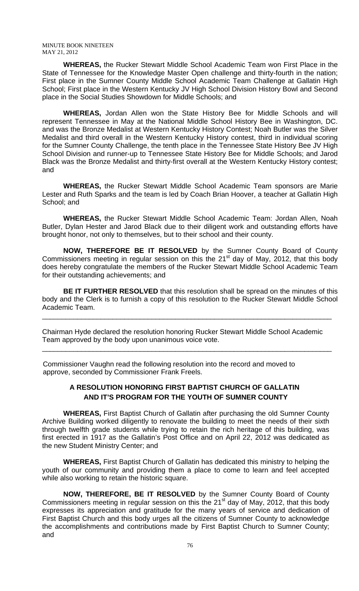**WHEREAS,** the Rucker Stewart Middle School Academic Team won First Place in the State of Tennessee for the Knowledge Master Open challenge and thirty-fourth in the nation; First place in the Sumner County Middle School Academic Team Challenge at Gallatin High School; First place in the Western Kentucky JV High School Division History Bowl and Second place in the Social Studies Showdown for Middle Schools; and

**WHEREAS,** Jordan Allen won the State History Bee for Middle Schools and will represent Tennessee in May at the National Middle School History Bee in Washington, DC. and was the Bronze Medalist at Western Kentucky History Contest; Noah Butler was the Silver Medalist and third overall in the Western Kentucky History contest, third in individual scoring for the Sumner County Challenge, the tenth place in the Tennessee State History Bee JV High School Division and runner-up to Tennessee State History Bee for Middle Schools; and Jarod Black was the Bronze Medalist and thirty-first overall at the Western Kentucky History contest; and

**WHEREAS,** the Rucker Stewart Middle School Academic Team sponsors are Marie Lester and Ruth Sparks and the team is led by Coach Brian Hoover, a teacher at Gallatin High School; and

**WHEREAS,** the Rucker Stewart Middle School Academic Team: Jordan Allen, Noah Butler, Dylan Hester and Jarod Black due to their diligent work and outstanding efforts have brought honor, not only to themselves, but to their school and their county.

**NOW, THEREFORE BE IT RESOLVED** by the Sumner County Board of County Commissioners meeting in regular session on this the  $21<sup>st</sup>$  day of May, 2012, that this body does hereby congratulate the members of the Rucker Stewart Middle School Academic Team for their outstanding achievements; and

**BE IT FURTHER RESOLVED** that this resolution shall be spread on the minutes of this body and the Clerk is to furnish a copy of this resolution to the Rucker Stewart Middle School Academic Team.

\_\_\_\_\_\_\_\_\_\_\_\_\_\_\_\_\_\_\_\_\_\_\_\_\_\_\_\_\_\_\_\_\_\_\_\_\_\_\_\_\_\_\_\_\_\_\_\_\_\_\_\_\_\_\_\_\_\_\_\_\_\_\_\_\_\_\_\_\_\_\_\_\_\_

\_\_\_\_\_\_\_\_\_\_\_\_\_\_\_\_\_\_\_\_\_\_\_\_\_\_\_\_\_\_\_\_\_\_\_\_\_\_\_\_\_\_\_\_\_\_\_\_\_\_\_\_\_\_\_\_\_\_\_\_\_\_\_\_\_\_\_\_\_\_\_\_\_\_

Chairman Hyde declared the resolution honoring Rucker Stewart Middle School Academic Team approved by the body upon unanimous voice vote.

 Commissioner Vaughn read the following resolution into the record and moved to approve, seconded by Commissioner Frank Freels.

# **A RESOLUTION HONORING FIRST BAPTIST CHURCH OF GALLATIN AND IT'S PROGRAM FOR THE YOUTH OF SUMNER COUNTY**

 **WHEREAS,** First Baptist Church of Gallatin after purchasing the old Sumner County Archive Building worked diligently to renovate the building to meet the needs of their sixth through twelfth grade students while trying to retain the rich heritage of this building, was first erected in 1917 as the Gallatin's Post Office and on April 22, 2012 was dedicated as the new Student Ministry Center; and

**WHEREAS,** First Baptist Church of Gallatin has dedicated this ministry to helping the youth of our community and providing them a place to come to learn and feel accepted while also working to retain the historic square.

**NOW, THEREFORE, BE IT RESOLVED** by the Sumner County Board of County Commissioners meeting in regular session on this the  $21<sup>st</sup>$  day of May, 2012, that this body expresses its appreciation and gratitude for the many years of service and dedication of First Baptist Church and this body urges all the citizens of Sumner County to acknowledge the accomplishments and contributions made by First Baptist Church to Sumner County; and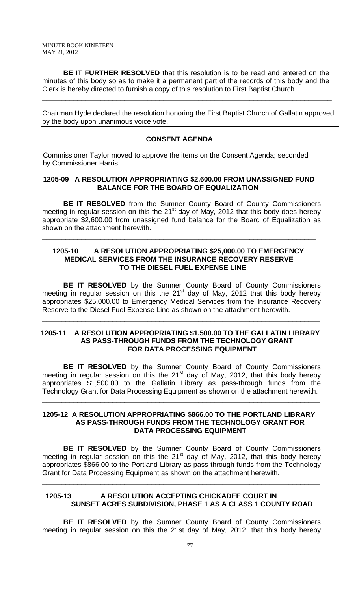**BE IT FURTHER RESOLVED** that this resolution is to be read and entered on the minutes of this body so as to make it a permanent part of the records of this body and the Clerk is hereby directed to furnish a copy of this resolution to First Baptist Church.

\_\_\_\_\_\_\_\_\_\_\_\_\_\_\_\_\_\_\_\_\_\_\_\_\_\_\_\_\_\_\_\_\_\_\_\_\_\_\_\_\_\_\_\_\_\_\_\_\_\_\_\_\_\_\_\_\_\_\_\_\_\_\_\_\_\_\_\_\_\_\_\_\_\_

Chairman Hyde declared the resolution honoring the First Baptist Church of Gallatin approved by the body upon unanimous voice vote.

## **CONSENT AGENDA**

 Commissioner Taylor moved to approve the items on the Consent Agenda; seconded by Commissioner Harris.

## **1205-09 A RESOLUTION APPROPRIATING \$2,600.00 FROM UNASSIGNED FUND BALANCE FOR THE BOARD OF EQUALIZATION**

**BE IT RESOLVED** from the Sumner County Board of County Commissioners meeting in regular session on this the  $21<sup>st</sup>$  day of May, 2012 that this body does hereby appropriate \$2,600.00 from unassigned fund balance for the Board of Equalization as shown on the attachment herewith.

## **1205-10 A RESOLUTION APPROPRIATING \$25,000.00 TO EMERGENCY MEDICAL SERVICES FROM THE INSURANCE RECOVERY RESERVE TO THE DIESEL FUEL EXPENSE LINE**

\_\_\_\_\_\_\_\_\_\_\_\_\_\_\_\_\_\_\_\_\_\_\_\_\_\_\_\_\_\_\_\_\_\_\_\_\_\_\_\_\_\_\_\_\_\_\_\_\_\_\_\_\_\_\_\_\_\_\_\_\_\_\_\_\_\_\_\_\_\_

**BE IT RESOLVED** by the Sumner County Board of County Commissioners meeting in regular session on this the  $21<sup>st</sup>$  day of May, 2012 that this body hereby appropriates \$25,000.00 to Emergency Medical Services from the Insurance Recovery Reserve to the Diesel Fuel Expense Line as shown on the attachment herewith.

\_\_\_\_\_\_\_\_\_\_\_\_\_\_\_\_\_\_\_\_\_\_\_\_\_\_\_\_\_\_\_\_\_\_\_\_\_\_\_\_\_\_\_\_\_\_\_\_\_\_\_\_\_\_\_\_\_\_\_\_\_\_\_\_\_\_\_\_\_\_\_

## **1205-11 A RESOLUTION APPROPRIATING \$1,500.00 TO THE GALLATIN LIBRARY AS PASS-THROUGH FUNDS FROM THE TECHNOLOGY GRANT FOR DATA PROCESSING EQUIPMENT**

**BE IT RESOLVED** by the Sumner County Board of County Commissioners meeting in regular session on this the 21 $^{\text{st}}$  day of May, 2012, that this body hereby appropriates \$1,500.00 to the Gallatin Library as pass-through funds from the Technology Grant for Data Processing Equipment as shown on the attachment herewith.

\_\_\_\_\_\_\_\_\_\_\_\_\_\_\_\_\_\_\_\_\_\_\_\_\_\_\_\_\_\_\_\_\_\_\_\_\_\_\_\_\_\_\_\_\_\_\_\_\_\_\_\_\_\_\_\_\_\_\_\_\_\_\_\_\_\_\_\_\_\_\_

## **1205-12 A RESOLUTION APPROPRIATING \$866.00 TO THE PORTLAND LIBRARY AS PASS-THROUGH FUNDS FROM THE TECHNOLOGY GRANT FOR DATA PROCESSING EQUIPMENT**

**BE IT RESOLVED** by the Sumner County Board of County Commissioners meeting in regular session on this the  $21<sup>st</sup>$  day of May, 2012, that this body hereby appropriates \$866.00 to the Portland Library as pass-through funds from the Technology Grant for Data Processing Equipment as shown on the attachment herewith.

\_\_\_\_\_\_\_\_\_\_\_\_\_\_\_\_\_\_\_\_\_\_\_\_\_\_\_\_\_\_\_\_\_\_\_\_\_\_\_\_\_\_\_\_\_\_\_\_\_\_\_\_\_\_\_\_\_\_\_\_\_\_\_\_\_\_\_\_\_\_\_

## **1205-13 A RESOLUTION ACCEPTING CHICKADEE COURT IN SUNSET ACRES SUBDIVISION, PHASE 1 AS A CLASS 1 COUNTY ROAD**

**BE IT RESOLVED** by the Sumner County Board of County Commissioners meeting in regular session on this the 21st day of May, 2012, that this body hereby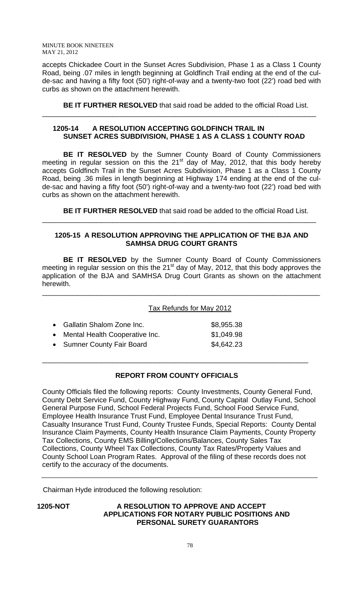accepts Chickadee Court in the Sunset Acres Subdivision, Phase 1 as a Class 1 County Road, being .07 miles in length beginning at Goldfinch Trail ending at the end of the culde-sac and having a fifty foot (50') right-of-way and a twenty-two foot (22') road bed with curbs as shown on the attachment herewith.

**BE IT FURTHER RESOLVED** that said road be added to the official Road List.

# **1205-14 A RESOLUTION ACCEPTING GOLDFINCH TRAIL IN SUNSET ACRES SUBDIVISION, PHASE 1 AS A CLASS 1 COUNTY ROAD**

\_\_\_\_\_\_\_\_\_\_\_\_\_\_\_\_\_\_\_\_\_\_\_\_\_\_\_\_\_\_\_\_\_\_\_\_\_\_\_\_\_\_\_\_\_\_\_\_\_\_\_\_\_\_\_\_\_\_\_\_\_\_\_\_\_\_\_\_\_\_

**BE IT RESOLVED** by the Sumner County Board of County Commissioners meeting in regular session on this the  $21<sup>st</sup>$  day of May, 2012, that this body hereby accepts Goldfinch Trail in the Sunset Acres Subdivision, Phase 1 as a Class 1 County Road, being .36 miles in length beginning at Highway 174 ending at the end of the culde-sac and having a fifty foot (50') right-of-way and a twenty-two foot (22') road bed with curbs as shown on the attachment herewith.

**BE IT FURTHER RESOLVED** that said road be added to the official Road List.

# **1205-15 A RESOLUTION APPROVING THE APPLICATION OF THE BJA AND SAMHSA DRUG COURT GRANTS**

\_\_\_\_\_\_\_\_\_\_\_\_\_\_\_\_\_\_\_\_\_\_\_\_\_\_\_\_\_\_\_\_\_\_\_\_\_\_\_\_\_\_\_\_\_\_\_\_\_\_\_\_\_\_\_\_\_\_\_\_\_\_\_\_\_\_\_\_\_\_

**BE IT RESOLVED** by the Sumner County Board of County Commissioners meeting in regular session on this the 21<sup>st</sup> day of May, 2012, that this body approves the application of the BJA and SAMHSA Drug Court Grants as shown on the attachment herewith.

\_\_\_\_\_\_\_\_\_\_\_\_\_\_\_\_\_\_\_\_\_\_\_\_\_\_\_\_\_\_\_\_\_\_\_\_\_\_\_\_\_\_\_\_\_\_\_\_\_\_\_\_\_\_\_\_\_\_\_\_\_\_\_\_\_\_\_\_\_\_\_

Tax Refunds for May 2012

| • Gallatin Shalom Zone Inc.      | \$8,955.38 |
|----------------------------------|------------|
| • Mental Health Cooperative Inc. | \$1,049.98 |
| • Sumner County Fair Board       | \$4,642.23 |

# **REPORT FROM COUNTY OFFICIALS**

\_\_\_\_\_\_\_\_\_\_\_\_\_\_\_\_\_\_\_\_\_\_\_\_\_\_\_\_\_\_\_\_\_\_\_\_\_\_\_\_\_\_\_\_\_\_\_\_\_\_\_\_\_\_\_\_\_\_\_\_\_\_\_\_\_\_\_\_

County Officials filed the following reports: County Investments, County General Fund, County Debt Service Fund, County Highway Fund, County Capital Outlay Fund, School General Purpose Fund, School Federal Projects Fund, School Food Service Fund, Employee Health Insurance Trust Fund, Employee Dental Insurance Trust Fund, Casualty Insurance Trust Fund, County Trustee Funds, Special Reports: County Dental Insurance Claim Payments, County Health Insurance Claim Payments, County Property Tax Collections, County EMS Billing/Collections/Balances, County Sales Tax Collections, County Wheel Tax Collections, County Tax Rates/Property Values and County School Loan Program Rates. Approval of the filing of these records does not certify to the accuracy of the documents.

Chairman Hyde introduced the following resolution:

**1205-NOT A RESOLUTION TO APPROVE AND ACCEPT APPLICATIONS FOR NOTARY PUBLIC POSITIONS AND PERSONAL SURETY GUARANTORS**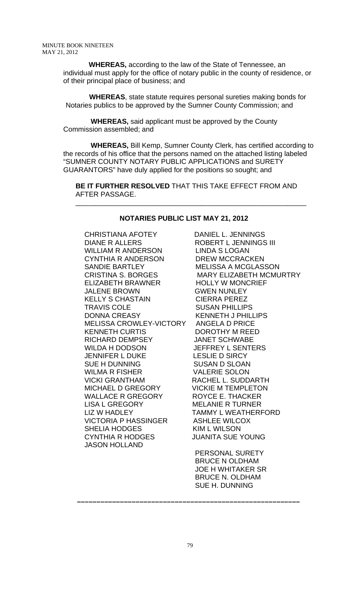**WHEREAS,** according to the law of the State of Tennessee, an individual must apply for the office of notary public in the county of residence, or of their principal place of business; and

 **WHEREAS**, state statute requires personal sureties making bonds for Notaries publics to be approved by the Sumner County Commission; and

 **WHEREAS,** said applicant must be approved by the County Commission assembled; and

 **WHEREAS,** Bill Kemp, Sumner County Clerk, has certified according to the records of his office that the persons named on the attached listing labeled "SUMNER COUNTY NOTARY PUBLIC APPLICATIONS and SURETY GUARANTORS" have duly applied for the positions so sought; and

 **BE IT FURTHER RESOLVED** THAT THIS TAKE EFFECT FROM AND AFTER PASSAGE.

## **NOTARIES PUBLIC LIST MAY 21, 2012**

 $\overline{\phantom{a}}$  , and the contract of the contract of the contract of the contract of the contract of the contract of the contract of the contract of the contract of the contract of the contract of the contract of the contrac

CHRISTIANA AFOTEY DANIEL L. JENNINGS DIANE R ALLERS ROBERT L JENNINGS III WILLIAM R ANDERSON LINDA S LOGAN CYNTHIA R ANDERSON DREW MCCRACKEN SANDIE BARTLEY MELISSA A MCGLASSON ELIZABETH BRAWNER HOLLY W MONCRIEF JALENE BROWN GWEN NUNLEY KELLY S CHASTAIN CIERRA PEREZ TRAVIS COLE SUSAN PHILLIPS DONNA CREASY KENNETH J PHILLIPS MELISSA CROWLEY-VICTORY ANGELA D PRICE KENNETH CURTIS DOROTHY M REED RICHARD DEMPSEY JANET SCHWABE WILDA H DODSON JEFFREY L SENTERS JENNIFER L DUKE LESLIE D SIRCY SUE H DUNNING SUSAN D SLOAN WILMA R FISHER VALERIE SOLON VICKI GRANTHAM RACHEL L. SUDDARTH MICHAEL D GREGORY VICKIE M TEMPLETON WALLACE R GREGORY ROYCE E. THACKER LISA L GREGORY MELANIE R TURNER LIZ W HADLEY TAMMY L WEATHERFORD VICTORIA P HASSINGER ASHLEE WILCOX SHELIA HODGES KIM L WILSON CYNTHIA R HODGES JUANITA SUE YOUNG JASON HOLLAND

CRISTINA S. BORGES MARY ELIZABETH MCMURTRY

 PERSONAL SURETY BRUCE N OLDHAM JOE H WHITAKER SR BRUCE N. OLDHAM SUE H. DUNNING

 **–––––––––––––––––––––––––––––––––––––––––––––––––––––––––**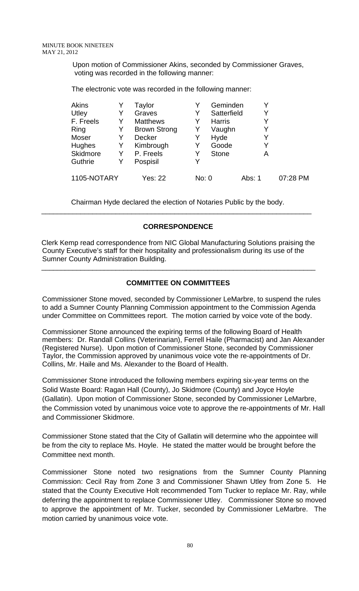Upon motion of Commissioner Akins, seconded by Commissioner Graves, voting was recorded in the following manner:

The electronic vote was recorded in the following manner:

| <b>Akins</b>  |   | Taylor              |       | Geminden      |        |          |
|---------------|---|---------------------|-------|---------------|--------|----------|
| Utley         |   | Graves              | Y     | Satterfield   |        |          |
| F. Freels     |   | <b>Matthews</b>     | Y     | <b>Harris</b> |        |          |
| Ring          | Y | <b>Brown Strong</b> | Y     | Vaughn        | Y      |          |
| Moser         | Y | <b>Decker</b>       | Y     | Hyde          |        |          |
| <b>Hughes</b> | Y | Kimbrough           | Y     | Goode         |        |          |
| Skidmore      | Y | P. Freels           | Y     | <b>Stone</b>  | A      |          |
| Guthrie       | Y | Pospisil            | Y     |               |        |          |
| 1105-NOTARY   |   | Yes: 22             | No: 0 |               | Abs: 1 | 07:28 PM |

 Chairman Hyde declared the election of Notaries Public by the body. \_\_\_\_\_\_\_\_\_\_\_\_\_\_\_\_\_\_\_\_\_\_\_\_\_\_\_\_\_\_\_\_\_\_\_\_\_\_\_\_\_\_\_\_\_\_\_\_\_\_\_\_\_\_\_\_\_\_\_\_\_\_\_\_\_\_\_\_\_

# **CORRESPONDENCE**

 Clerk Kemp read correspondence from NIC Global Manufacturing Solutions praising the County Executive's staff for their hospitality and professionalism during its use of the Sumner County Administration Building.

# **COMMITTEE ON COMMITTEES**

\_\_\_\_\_\_\_\_\_\_\_\_\_\_\_\_\_\_\_\_\_\_\_\_\_\_\_\_\_\_\_\_\_\_\_\_\_\_\_\_\_\_\_\_\_\_\_\_\_\_\_\_\_\_\_\_\_\_\_\_\_\_\_\_\_\_\_\_\_\_

Commissioner Stone moved, seconded by Commissioner LeMarbre, to suspend the rules to add a Sumner County Planning Commission appointment to the Commission Agenda under Committee on Committees report. The motion carried by voice vote of the body.

Commissioner Stone announced the expiring terms of the following Board of Health members: Dr. Randall Collins (Veterinarian), Ferrell Haile (Pharmacist) and Jan Alexander (Registered Nurse). Upon motion of Commissioner Stone, seconded by Commissioner Taylor, the Commission approved by unanimous voice vote the re-appointments of Dr. Collins, Mr. Haile and Ms. Alexander to the Board of Health.

Commissioner Stone introduced the following members expiring six-year terms on the Solid Waste Board: Ragan Hall (County), Jo Skidmore (County) and Joyce Hoyle (Gallatin). Upon motion of Commissioner Stone, seconded by Commissioner LeMarbre, the Commission voted by unanimous voice vote to approve the re-appointments of Mr. Hall and Commissioner Skidmore.

Commissioner Stone stated that the City of Gallatin will determine who the appointee will be from the city to replace Ms. Hoyle. He stated the matter would be brought before the Committee next month.

Commissioner Stone noted two resignations from the Sumner County Planning Commission: Cecil Ray from Zone 3 and Commissioner Shawn Utley from Zone 5. He stated that the County Executive Holt recommended Tom Tucker to replace Mr. Ray, while deferring the appointment to replace Commissioner Utley.Commissioner Stone so moved to approve the appointment of Mr. Tucker, seconded by Commissioner LeMarbre. The motion carried by unanimous voice vote.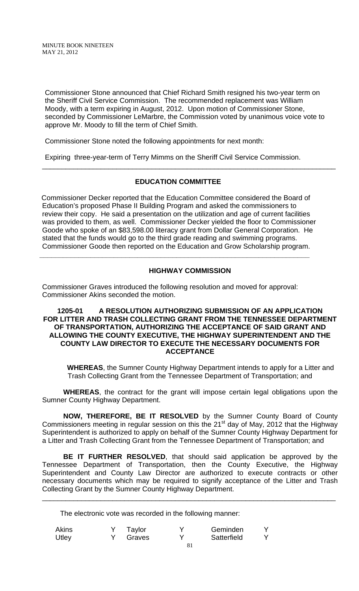Commissioner Stone announced that Chief Richard Smith resigned his two-year term on the Sheriff Civil Service Commission. The recommended replacement was William Moody, with a term expiring in August, 2012. Upon motion of Commissioner Stone, seconded by Commissioner LeMarbre, the Commission voted by unanimous voice vote to approve Mr. Moody to fill the term of Chief Smith.

Commissioner Stone noted the following appointments for next month:

Expiring three-year-term of Terry Mimms on the Sheriff Civil Service Commission.

# **EDUCATION COMMITTEE**

\_\_\_\_\_\_\_\_\_\_\_\_\_\_\_\_\_\_\_\_\_\_\_\_\_\_\_\_\_\_\_\_\_\_\_\_\_\_\_\_\_\_\_\_\_\_\_\_\_\_\_\_\_\_\_\_\_\_\_\_\_\_\_\_\_\_\_\_\_\_\_\_\_\_\_

 Commissioner Decker reported that the Education Committee considered the Board of Education's proposed Phase II Building Program and asked the commissioners to review their copy. He said a presentation on the utilization and age of current facilities was provided to them, as well. Commissioner Decker yielded the floor to Commissioner Goode who spoke of an \$83,598.00 literacy grant from Dollar General Corporation. He stated that the funds would go to the third grade reading and swimming programs. Commissioner Goode then reported on the Education and Grow Scholarship program.

**\_\_\_\_\_\_\_\_\_\_\_\_\_\_\_\_\_\_\_\_\_\_\_\_\_\_\_\_\_\_\_\_\_\_\_\_\_\_\_\_\_\_\_\_\_\_\_\_\_\_\_\_\_\_\_\_\_\_\_\_\_\_\_\_\_\_\_\_\_** 

# **HIGHWAY COMMISSION**

Commissioner Graves introduced the following resolution and moved for approval: Commissioner Akins seconded the motion.

## **1205-01 A RESOLUTION AUTHORIZING SUBMISSION OF AN APPLICATION FOR LITTER AND TRASH COLLECTING GRANT FROM THE TENNESSEE DEPARTMENT OF TRANSPORTATION, AUTHORIZING THE ACCEPTANCE OF SAID GRANT AND ALLOWING THE COUNTY EXECUTIVE, THE HIGHWAY SUPERINTENDENT AND THE COUNTY LAW DIRECTOR TO EXECUTE THE NECESSARY DOCUMENTS FOR ACCEPTANCE**

**WHEREAS**, the Sumner County Highway Department intends to apply for a Litter and Trash Collecting Grant from the Tennessee Department of Transportation; and

**WHEREAS**, the contract for the grant will impose certain legal obligations upon the Sumner County Highway Department.

**NOW, THEREFORE, BE IT RESOLVED** by the Sumner County Board of County Commissioners meeting in regular session on this the 21<sup>st</sup> day of May, 2012 that the Highway Superintendent is authorized to apply on behalf of the Sumner County Highway Department for a Litter and Trash Collecting Grant from the Tennessee Department of Transportation; and

**BE IT FURTHER RESOLVED**, that should said application be approved by the Tennessee Department of Transportation, then the County Executive, the Highway Superintendent and County Law Director are authorized to execute contracts or other necessary documents which may be required to signify acceptance of the Litter and Trash Collecting Grant by the Sumner County Highway Department.

\_\_\_\_\_\_\_\_\_\_\_\_\_\_\_\_\_\_\_\_\_\_\_\_\_\_\_\_\_\_\_\_\_\_\_\_\_\_\_\_\_\_\_\_\_\_\_\_\_\_\_\_\_\_\_\_\_\_\_\_\_\_\_\_\_\_\_\_\_\_\_\_\_\_\_

The electronic vote was recorded in the following manner:

| <b>Akins</b> | Taylor | Geminden    |  |
|--------------|--------|-------------|--|
| <b>Utley</b> | Graves | Satterfield |  |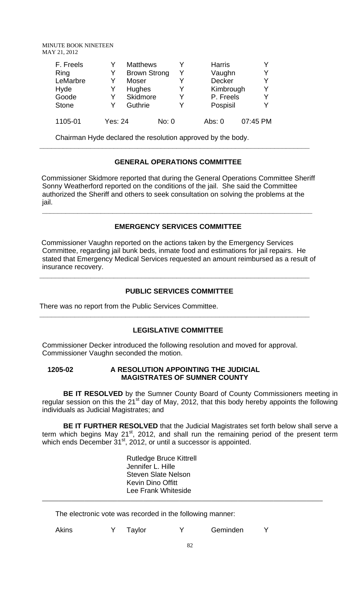| F. Freels<br>Ring<br>LeMarbre<br>Hyde<br>Goode | Y<br>Y<br>Y<br>Y<br>Y | <b>Matthews</b><br><b>Brown Strong</b><br><b>Moser</b><br><b>Hughes</b><br>Skidmore |       | Y<br>V | <b>Harris</b><br>Vaughn<br>Decker<br>Kimbrough<br>P. Freels |          | Y<br>Y<br>Y<br>Y |
|------------------------------------------------|-----------------------|-------------------------------------------------------------------------------------|-------|--------|-------------------------------------------------------------|----------|------------------|
| <b>Stone</b>                                   |                       | Guthrie                                                                             |       |        | Pospisil                                                    |          | Y                |
| 1105-01                                        | Yes: 24               |                                                                                     | No: 0 |        | Abs: $0$                                                    | 07:45 PM |                  |

Chairman Hyde declared the resolution approved by the body.

# **GENERAL OPERATIONS COMMITTEE**

**\_\_\_\_\_\_\_\_\_\_\_\_\_\_\_\_\_\_\_\_\_\_\_\_\_\_\_\_\_\_\_\_\_\_\_\_\_\_\_\_\_\_\_\_\_\_\_\_\_\_\_\_\_\_\_\_\_\_\_\_\_\_\_\_\_\_\_\_\_** 

 Commissioner Skidmore reported that during the General Operations Committee Sheriff Sonny Weatherford reported on the conditions of the jail. She said the Committee authorized the Sheriff and others to seek consultation on solving the problems at the jail.

# **EMERGENCY SERVICES COMMITTEE**

**\_\_\_\_\_\_\_\_\_\_\_\_\_\_\_\_\_\_\_\_\_\_\_\_\_\_\_\_\_\_\_\_\_\_\_\_\_\_\_\_\_\_\_\_\_\_\_\_\_\_\_\_\_\_\_\_\_\_\_\_\_\_\_\_\_\_\_\_\_** 

 Commissioner Vaughn reported on the actions taken by the Emergency Services Committee, regarding jail bunk beds, inmate food and estimations for jail repairs. He stated that Emergency Medical Services requested an amount reimbursed as a result of insurance recovery.

**\_\_\_\_\_\_\_\_\_\_\_\_\_\_\_\_\_\_\_\_\_\_\_\_\_\_\_\_\_\_\_\_\_\_\_\_\_\_\_\_\_\_\_\_\_\_\_\_\_\_\_\_\_\_\_\_\_\_\_\_\_\_\_\_\_\_\_\_\_** 

# **PUBLIC SERVICES COMMITTEE**

There was no report from the Public Services Committee.

# **LEGISLATIVE COMMITTEE**

**\_\_\_\_\_\_\_\_\_\_\_\_\_\_\_\_\_\_\_\_\_\_\_\_\_\_\_\_\_\_\_\_\_\_\_\_\_\_\_\_\_\_\_\_\_\_\_\_\_\_\_\_\_\_\_\_\_\_\_\_\_\_\_\_\_\_\_\_\_** 

Commissioner Decker introduced the following resolution and moved for approval. Commissioner Vaughn seconded the motion.

## **1205-02 A RESOLUTION APPOINTING THE JUDICIAL MAGISTRATES OF SUMNER COUNTY**

**BE IT RESOLVED** by the Sumner County Board of County Commissioners meeting in regular session on this the 21<sup>st</sup> day of May, 2012, that this body hereby appoints the following individuals as Judicial Magistrates; and

**BE IT FURTHER RESOLVED** that the Judicial Magistrates set forth below shall serve a term which begins May  $21^{st}$ , 2012, and shall run the remaining period of the present term which ends December 31<sup>st</sup>, 2012, or until a successor is appointed.

> Rutledge Bruce Kittrell Jennifer L. Hille Steven Slate Nelson Kevin Dino Offitt Lee Frank Whiteside

The electronic vote was recorded in the following manner:

| Akins |  | Taylor |  | Geminden |  |
|-------|--|--------|--|----------|--|
|-------|--|--------|--|----------|--|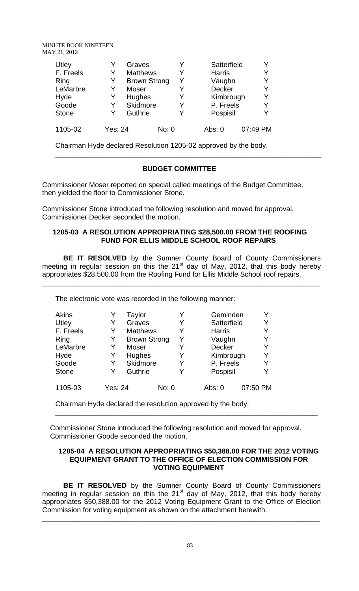| Utley<br>F. Freels<br>Ring<br>LeMarbre<br>Hyde | Y<br>Y<br>Y<br>Y<br>Y | Graves<br><b>Matthews</b><br><b>Brown Strong</b><br><b>Moser</b><br>Hughes |       | v<br>Y<br>v<br>v | Satterfield<br><b>Harris</b><br>Vaughn<br><b>Decker</b><br>Kimbrough | Y<br>Y<br>Y<br>Y<br>Y |  |
|------------------------------------------------|-----------------------|----------------------------------------------------------------------------|-------|------------------|----------------------------------------------------------------------|-----------------------|--|
| Goode                                          | Y                     | Skidmore                                                                   |       | v                | P. Freels                                                            | Y                     |  |
| <b>Stone</b>                                   | Y                     | Guthrie                                                                    |       | v                | Pospisil                                                             | Y                     |  |
| 1105-02                                        | <b>Yes: 24</b>        |                                                                            | No: 0 |                  | Abs: $0$                                                             | 07:49 PM              |  |

Chairman Hyde declared Resolution 1205-02 approved by the body.

## **BUDGET COMMITTEE**

\_\_\_\_\_\_\_\_\_\_\_\_\_\_\_\_\_\_\_\_\_\_\_\_\_\_\_\_\_\_\_\_\_\_\_\_\_\_\_\_\_\_\_\_\_\_\_\_\_\_\_\_\_\_\_\_\_\_\_\_\_\_\_\_\_\_\_\_

Commissioner Moser reported on special called meetings of the Budget Committee, then yielded the floor to Commissioner Stone.

Commissioner Stone introduced the following resolution and moved for approval. Commissioner Decker seconded the motion.

## **1205-03 A RESOLUTION APPROPRIATING \$28,500.00 FROM THE ROOFING FUND FOR ELLIS MIDDLE SCHOOL ROOF REPAIRS**

 **BE IT RESOLVED** by the Sumner County Board of County Commissioners meeting in regular session on this the  $21<sup>st</sup>$  day of May, 2012, that this body hereby appropriates \$28,500.00 from the Roofing Fund for Ellis Middle School roof repairs.

\_\_\_\_\_\_\_\_\_\_\_\_\_\_\_\_\_\_\_\_\_\_\_\_\_\_\_\_\_\_\_\_\_\_\_\_\_\_\_\_\_\_\_\_\_\_\_\_\_\_\_\_\_\_\_\_\_\_\_\_\_\_\_\_\_\_\_\_\_\_\_

The electronic vote was recorded in the following manner:

| <b>Akins</b> |                | Taylor              |       |        | Geminden      |          |
|--------------|----------------|---------------------|-------|--------|---------------|----------|
| Utley        |                | Graves              | Y     |        | Satterfield   | Y        |
| F. Freels    | Y              | <b>Matthews</b>     | Y     |        | <b>Harris</b> | Y        |
| Ring         | Y              | <b>Brown Strong</b> | Y     |        | Vaughn        | Y        |
| LeMarbre     | Y              | Moser               |       |        | Decker        | Y        |
| Hyde         | Y              | <b>Hughes</b>       | Y     |        | Kimbrough     | Y        |
| Goode        | Y              | Skidmore            | Y     |        | P. Freels     | Y        |
| <b>Stone</b> |                | Guthrie             |       |        | Pospisil      | Y        |
| 1105-03      | <b>Yes: 24</b> |                     | No: 0 | Abs: 0 |               | 07:50 PM |

Chairman Hyde declared the resolution approved by the body.

 Commissioner Stone introduced the following resolution and moved for approval. Commissioner Goode seconded the motion.

## **1205-04 A RESOLUTION APPROPRIATING \$50,388.00 FOR THE 2012 VOTING EQUIPMENT GRANT TO THE OFFICE OF ELECTION COMMISSION FOR VOTING EQUIPMENT**

\_\_\_\_\_\_\_\_\_\_\_\_\_\_\_\_\_\_\_\_\_\_\_\_\_\_\_\_\_\_\_\_\_\_\_\_\_\_\_\_\_\_\_\_\_\_\_\_\_\_\_\_\_\_\_\_\_\_\_\_\_\_\_\_\_\_\_

 **BE IT RESOLVED** by the Sumner County Board of County Commissioners meeting in regular session on this the  $21<sup>st</sup>$  day of May, 2012, that this body hereby appropriates \$50,388.00 for the 2012 Voting Equipment Grant to the Office of Election Commission for voting equipment as shown on the attachment herewith.

\_\_\_\_\_\_\_\_\_\_\_\_\_\_\_\_\_\_\_\_\_\_\_\_\_\_\_\_\_\_\_\_\_\_\_\_\_\_\_\_\_\_\_\_\_\_\_\_\_\_\_\_\_\_\_\_\_\_\_\_\_\_\_\_\_\_\_\_\_\_\_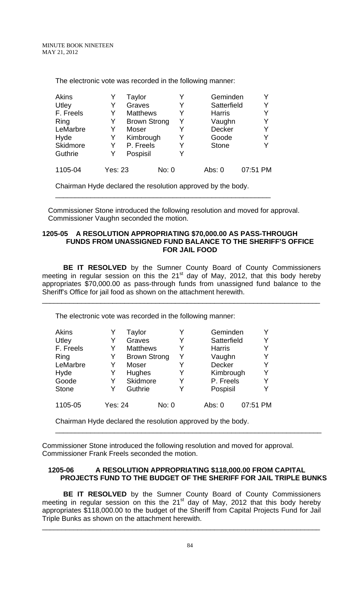| <b>Akins</b> |                | Taylor              |       | Y | Geminden      | Υ        |
|--------------|----------------|---------------------|-------|---|---------------|----------|
| Utley        | Y              | Graves              |       | Y | Satterfield   | Y        |
| F. Freels    | Y              | <b>Matthews</b>     |       |   | <b>Harris</b> | Y        |
| Ring         | Y              | <b>Brown Strong</b> |       | Y | Vaughn        | Y        |
| LeMarbre     | Y              | Moser               |       | Y | <b>Decker</b> | Y        |
| Hyde         | Y              | Kimbrough           |       | Y | Goode         | Y        |
| Skidmore     | Y              | P. Freels           |       | Y | <b>Stone</b>  |          |
| Guthrie      | Y              | Pospisil            |       | Y |               |          |
| 1105-04      | <b>Yes: 23</b> |                     | No: 0 |   | Abs: 0        | 07:51 PM |

The electronic vote was recorded in the following manner:

Chairman Hyde declared the resolution approved by the body.

\_\_\_\_\_\_\_\_\_\_\_\_\_\_\_\_\_\_\_\_\_\_\_\_\_\_\_\_\_\_\_\_\_\_\_\_\_\_\_\_\_\_\_\_\_\_\_\_\_\_\_\_\_\_\_

 Commissioner Stone introduced the following resolution and moved for approval. Commissioner Vaughn seconded the motion.

#### **1205-05 A RESOLUTION APPROPRIATING \$70,000.00 AS PASS-THROUGH FUNDS FROM UNASSIGNED FUND BALANCE TO THE SHERIFF'S OFFICE FOR JAIL FOOD**

**BE IT RESOLVED** by the Sumner County Board of County Commissioners meeting in regular session on this the 21 $<sup>st</sup>$  day of May, 2012, that this body hereby</sup> appropriates \$70,000.00 as pass-through funds from unassigned fund balance to the Sheriff's Office for jail food as shown on the attachment herewith.

\_\_\_\_\_\_\_\_\_\_\_\_\_\_\_\_\_\_\_\_\_\_\_\_\_\_\_\_\_\_\_\_\_\_\_\_\_\_\_\_\_\_\_\_\_\_\_\_\_\_\_\_\_\_\_\_\_\_\_\_\_\_\_\_\_\_\_\_\_\_\_

The electronic vote was recorded in the following manner:

| Akins        |                | Taylor              |       |   | Geminden      |          | Y |
|--------------|----------------|---------------------|-------|---|---------------|----------|---|
| Utley        |                | Graves              |       |   | Satterfield   |          | Y |
| F. Freels    | Y              | <b>Matthews</b>     |       |   | <b>Harris</b> |          | Y |
| Ring         | Y              | <b>Brown Strong</b> |       | Y | Vaughn        |          | Y |
| LeMarbre     | Y              | Moser               |       |   | Decker        |          | Y |
| Hyde         | Y              | Hughes              |       | Y | Kimbrough     |          | Y |
| Goode        | Y              | Skidmore            |       |   | P. Freels     |          | Y |
| <b>Stone</b> |                | Guthrie             |       |   | Pospisil      |          | Y |
| 1105-05      | <b>Yes: 24</b> |                     | No: 0 |   | Abs: 0        | 07:51 PM |   |

Chairman Hyde declared the resolution approved by the body.

Commissioner Stone introduced the following resolution and moved for approval. Commissioner Frank Freels seconded the motion.

# **1205-06 A RESOLUTION APPROPRIATING \$118,000.00 FROM CAPITAL PROJECTS FUND TO THE BUDGET OF THE SHERIFF FOR JAIL TRIPLE BUNKS**

\_\_\_\_\_\_\_\_\_\_\_\_\_\_\_\_\_\_\_\_\_\_\_\_\_\_\_\_\_\_\_\_\_\_\_\_\_\_\_\_\_\_\_\_\_\_\_\_\_\_\_\_\_\_\_\_\_\_\_\_\_\_\_\_\_\_\_\_

**BE IT RESOLVED** by the Sumner County Board of County Commissioners meeting in regular session on this the  $21<sup>st</sup>$  day of May, 2012 that this body hereby appropriates \$118,000.00 to the budget of the Sheriff from Capital Projects Fund for Jail Triple Bunks as shown on the attachment herewith.

\_\_\_\_\_\_\_\_\_\_\_\_\_\_\_\_\_\_\_\_\_\_\_\_\_\_\_\_\_\_\_\_\_\_\_\_\_\_\_\_\_\_\_\_\_\_\_\_\_\_\_\_\_\_\_\_\_\_\_\_\_\_\_\_\_\_\_\_\_\_\_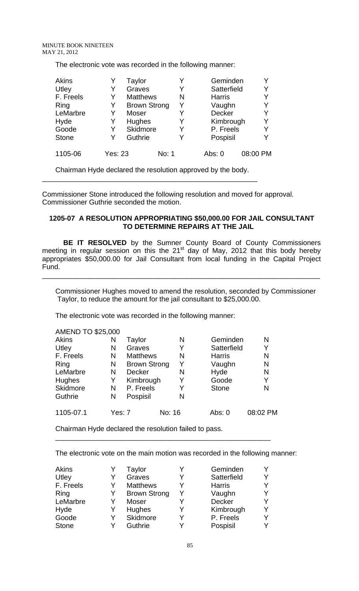The electronic vote was recorded in the following manner:

| <b>Akins</b> |                | Taylor              |       |   | Geminden      |          | Y |
|--------------|----------------|---------------------|-------|---|---------------|----------|---|
| Utley        | Y              | Graves              |       | Y | Satterfield   |          | Y |
| F. Freels    | Y              | <b>Matthews</b>     |       | N | <b>Harris</b> |          | Y |
| Ring         | Y              | <b>Brown Strong</b> |       | Y | Vaughn        |          | Y |
| LeMarbre     | Y              | Moser               |       | Y | Decker        |          | Y |
| Hyde         | Y              | Hughes              |       | Y | Kimbrough     |          | Y |
| Goode        | Y              | Skidmore            |       | Y | P. Freels     |          | Υ |
| <b>Stone</b> | Y              | Guthrie             |       | Y | Pospisil      |          | Y |
| 1105-06      | <b>Yes: 23</b> |                     | No: 1 |   | Abs: 0        | 08:00 PM |   |

Chairman Hyde declared the resolution approved by the body. \_\_\_\_\_\_\_\_\_\_\_\_\_\_\_\_\_\_\_\_\_\_\_\_\_\_\_\_\_\_\_\_\_\_\_\_\_\_\_\_\_\_\_\_\_\_\_\_\_\_\_\_\_\_\_

Commissioner Stone introduced the following resolution and moved for approval. Commissioner Guthrie seconded the motion.

## **1205-07 A RESOLUTION APPROPRIATING \$50,000.00 FOR JAIL CONSULTANT TO DETERMINE REPAIRS AT THE JAIL**

**BE IT RESOLVED** by the Sumner County Board of County Commissioners meeting in regular session on this the 21 $^{\text{st}}$  day of May, 2012 that this body hereby appropriates \$50,000.00 for Jail Consultant from local funding in the Capital Project Fund.

\_\_\_\_\_\_\_\_\_\_\_\_\_\_\_\_\_\_\_\_\_\_\_\_\_\_\_\_\_\_\_\_\_\_\_\_\_\_\_\_\_\_\_\_\_\_\_\_\_\_\_\_\_\_\_\_\_\_\_\_\_\_\_\_\_\_\_\_\_\_\_

Commissioner Hughes moved to amend the resolution, seconded by Commissioner Taylor, to reduce the amount for the jail consultant to \$25,000.00.

The electronic vote was recorded in the following manner:

| <b>AMEND TO \$25,000</b> |        |                     |        |   |               |          |
|--------------------------|--------|---------------------|--------|---|---------------|----------|
| <b>Akins</b>             | N      | Taylor              |        | N | Geminden      | N        |
| Utley                    | N      | Graves              |        | Y | Satterfield   | Y        |
| F. Freels                | N      | <b>Matthews</b>     |        | N | <b>Harris</b> | N        |
| Ring                     | N      | <b>Brown Strong</b> |        | Y | Vaughn        | N        |
| LeMarbre                 | N      | <b>Decker</b>       |        | N | Hyde          | N        |
| <b>Hughes</b>            | Y      | Kimbrough           |        | Y | Goode         | Y        |
| <b>Skidmore</b>          | N      | P. Freels           |        | Y | <b>Stone</b>  | N        |
| Guthrie                  | N      | Pospisil            |        | N |               |          |
| 1105-07.1                | Yes: 7 |                     | No: 16 |   | Abs: 0        | 08:02 PM |

Chairman Hyde declared the resolution failed to pass.

The electronic vote on the main motion was recorded in the following manner:

| <b>Akins</b> |   | Taylor              |   | Geminden      |  |
|--------------|---|---------------------|---|---------------|--|
| Utley        | Y | Graves              | v | Satterfield   |  |
| F. Freels    | Y | <b>Matthews</b>     | v | <b>Harris</b> |  |
| Ring         |   | <b>Brown Strong</b> | Y | Vaughn        |  |
| LeMarbre     | Y | Moser               |   | <b>Decker</b> |  |
| Hyde         |   | <b>Hughes</b>       | v | Kimbrough     |  |
| Goode        | Y | Skidmore            | Y | P. Freels     |  |
| <b>Stone</b> |   | Guthrie             | v | Pospisil      |  |

\_\_\_\_\_\_\_\_\_\_\_\_\_\_\_\_\_\_\_\_\_\_\_\_\_\_\_\_\_\_\_\_\_\_\_\_\_\_\_\_\_\_\_\_\_\_\_\_\_\_\_\_\_\_\_